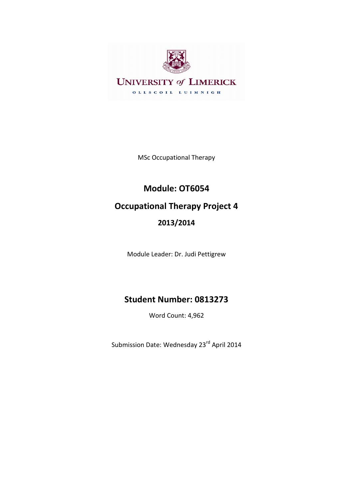

MSc Occupational Therapy

# **Module: OT6054 Occupational Therapy Project 4 2013/2014**

Module Leader: Dr. Judi Pettigrew

# **Student Number: 0813273**

Word Count: 4,962

Submission Date: Wednesday 23<sup>rd</sup> April 2014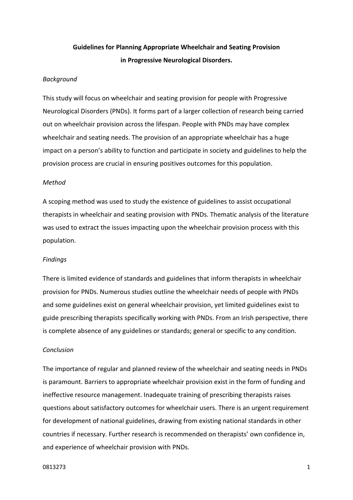# **Guidelines for Planning Appropriate Wheelchair and Seating Provision in Progressive Neurological Disorders.**

# *Background*

This study will focus on wheelchair and seating provision for people with Progressive Neurological Disorders (PNDs). It forms part of a larger collection of research being carried out on wheelchair provision across the lifespan. People with PNDs may have complex wheelchair and seating needs. The provision of an appropriate wheelchair has a huge impact on a person's ability to function and participate in society and guidelines to help the provision process are crucial in ensuring positives outcomes for this population.

# *Method*

A scoping method was used to study the existence of guidelines to assist occupational therapists in wheelchair and seating provision with PNDs. Thematic analysis of the literature was used to extract the issues impacting upon the wheelchair provision process with this population.

#### *Findings*

There is limited evidence of standards and guidelines that inform therapists in wheelchair provision for PNDs. Numerous studies outline the wheelchair needs of people with PNDs and some guidelines exist on general wheelchair provision, yet limited guidelines exist to guide prescribing therapists specifically working with PNDs. From an Irish perspective, there is complete absence of any guidelines or standards; general or specific to any condition.

## *Conclusion*

The importance of regular and planned review of the wheelchair and seating needs in PNDs is paramount. Barriers to appropriate wheelchair provision exist in the form of funding and ineffective resource management. Inadequate training of prescribing therapists raises questions about satisfactory outcomes for wheelchair users. There is an urgent requirement for development of national guidelines, drawing from existing national standards in other countries if necessary. Further research is recommended on therapists' own confidence in, and experience of wheelchair provision with PNDs.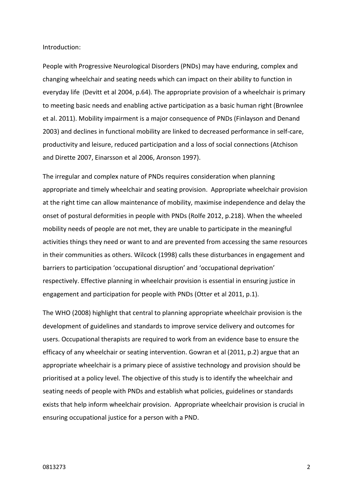Introduction:

People with Progressive Neurological Disorders (PNDs) may have enduring, complex and changing wheelchair and seating needs which can impact on their ability to function in everyday life (Devitt et al 2004, p.64). The appropriate provision of a wheelchair is primary to meeting basic needs and enabling active participation as a basic human right (Brownlee et al. 2011). Mobility impairment is a major consequence of PNDs (Finlayson and Denand 2003) and declines in functional mobility are linked to decreased performance in self-care, productivity and leisure, reduced participation and a loss of social connections (Atchison and Dirette 2007, Einarsson et al 2006, Aronson 1997).

The irregular and complex nature of PNDs requires consideration when planning appropriate and timely wheelchair and seating provision. Appropriate wheelchair provision at the right time can allow maintenance of mobility, maximise independence and delay the onset of postural deformities in people with PNDs (Rolfe 2012, p.218). When the wheeled mobility needs of people are not met, they are unable to participate in the meaningful activities things they need or want to and are prevented from accessing the same resources in their communities as others. Wilcock (1998) calls these disturbances in engagement and barriers to participation 'occupational disruption' and 'occupational deprivation' respectively. Effective planning in wheelchair provision is essential in ensuring justice in engagement and participation for people with PNDs (Otter et al 2011, p.1).

The WHO (2008) highlight that central to planning appropriate wheelchair provision is the development of guidelines and standards to improve service delivery and outcomes for users. Occupational therapists are required to work from an evidence base to ensure the efficacy of any wheelchair or seating intervention. Gowran et al (2011, p.2) argue that an appropriate wheelchair is a primary piece of assistive technology and provision should be prioritised at a policy level. The objective of this study is to identify the wheelchair and seating needs of people with PNDs and establish what policies, guidelines or standards exists that help inform wheelchair provision. Appropriate wheelchair provision is crucial in ensuring occupational justice for a person with a PND.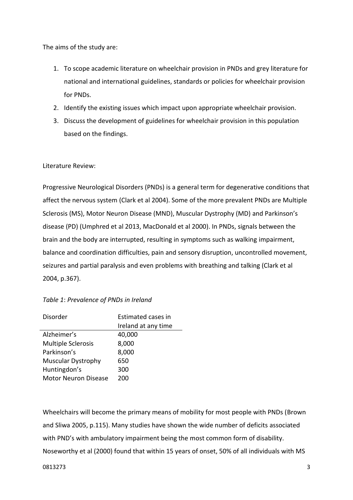The aims of the study are:

- 1. To scope academic literature on wheelchair provision in PNDs and grey literature for national and international guidelines, standards or policies for wheelchair provision for PNDs.
- 2. Identify the existing issues which impact upon appropriate wheelchair provision.
- 3. Discuss the development of guidelines for wheelchair provision in this population based on the findings.

# Literature Review:

Progressive Neurological Disorders (PNDs) is a general term for degenerative conditions that affect the nervous system (Clark et al 2004). Some of the more prevalent PNDs are Multiple Sclerosis (MS), Motor Neuron Disease (MND), Muscular Dystrophy (MD) and Parkinson's disease (PD) (Umphred et al 2013, MacDonald et al 2000). In PNDs, signals between the brain and the body are interrupted, resulting in symptoms such as walking impairment, balance and coordination difficulties, pain and sensory disruption, uncontrolled movement, seizures and partial paralysis and even problems with breathing and talking (Clark et al 2004, p.367).

| Disorder                    | Estimated cases in<br>Ireland at any time |
|-----------------------------|-------------------------------------------|
| Alzheimer's                 | 40,000                                    |
| <b>Multiple Sclerosis</b>   | 8,000                                     |
| Parkinson's                 | 8,000                                     |
| <b>Muscular Dystrophy</b>   | 650                                       |
| Huntingdon's                | 300                                       |
| <b>Motor Neuron Disease</b> | 200                                       |
|                             |                                           |

Wheelchairs will become the primary means of mobility for most people with PNDs (Brown and Sliwa 2005, p.115). Many studies have shown the wide number of deficits associated with PND's with ambulatory impairment being the most common form of disability. Noseworthy et al (2000) found that within 15 years of onset, 50% of all individuals with MS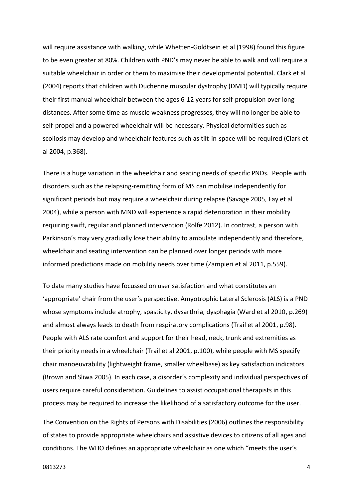will require assistance with walking, while Whetten-Goldtsein et al (1998) found this figure to be even greater at 80%. Children with PND's may never be able to walk and will require a suitable wheelchair in order or them to maximise their developmental potential. Clark et al (2004) reports that children with Duchenne muscular dystrophy (DMD) will typically require their first manual wheelchair between the ages 6-12 years for self-propulsion over long distances. After some time as muscle weakness progresses, they will no longer be able to self-propel and a powered wheelchair will be necessary. Physical deformities such as scoliosis may develop and wheelchair features such as tilt-in-space will be required (Clark et al 2004, p.368).

There is a huge variation in the wheelchair and seating needs of specific PNDs. People with disorders such as the relapsing-remitting form of MS can mobilise independently for significant periods but may require a wheelchair during relapse (Savage 2005, Fay et al 2004), while a person with MND will experience a rapid deterioration in their mobility requiring swift, regular and planned intervention (Rolfe 2012). In contrast, a person with Parkinson's may very gradually lose their ability to ambulate independently and therefore, wheelchair and seating intervention can be planned over longer periods with more informed predictions made on mobility needs over time (Zampieri et al 2011, p.559).

To date many studies have focussed on user satisfaction and what constitutes an 'appropriate' chair from the user's perspective. Amyotrophic Lateral Sclerosis (ALS) is a PND whose symptoms include atrophy, spasticity, dysarthria, dysphagia (Ward et al 2010, p.269) and almost always leads to death from respiratory complications (Trail et al 2001, p.98). People with ALS rate comfort and support for their head, neck, trunk and extremities as their priority needs in a wheelchair (Trail et al 2001, p.100), while people with MS specify chair manoeuvrability (lightweight frame, smaller wheelbase) as key satisfaction indicators (Brown and Sliwa 2005). In each case, a disorder's complexity and individual perspectives of users require careful consideration. Guidelines to assist occupational therapists in this process may be required to increase the likelihood of a satisfactory outcome for the user.

The Convention on the Rights of Persons with Disabilities (2006) outlines the responsibility of states to provide appropriate wheelchairs and assistive devices to citizens of all ages and conditions. The WHO defines an appropriate wheelchair as one which "meets the user's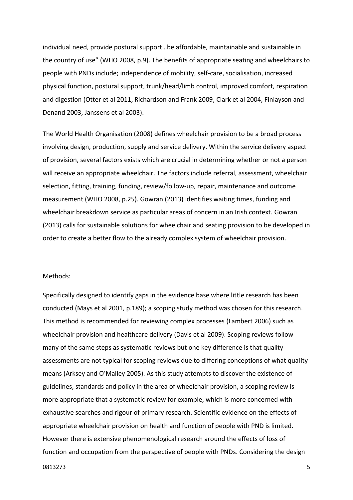individual need, provide postural support…be affordable, maintainable and sustainable in the country of use" (WHO 2008, p.9). The benefits of appropriate seating and wheelchairs to people with PNDs include; independence of mobility, self-care, socialisation, increased physical function, postural support, trunk/head/limb control, improved comfort, respiration and digestion (Otter et al 2011, Richardson and Frank 2009, Clark et al 2004, Finlayson and Denand 2003, Janssens et al 2003).

The World Health Organisation (2008) defines wheelchair provision to be a broad process involving design, production, supply and service delivery. Within the service delivery aspect of provision, several factors exists which are crucial in determining whether or not a person will receive an appropriate wheelchair. The factors include referral, assessment, wheelchair selection, fitting, training, funding, review/follow-up, repair, maintenance and outcome measurement (WHO 2008, p.25). Gowran (2013) identifies waiting times, funding and wheelchair breakdown service as particular areas of concern in an Irish context. Gowran (2013) calls for sustainable solutions for wheelchair and seating provision to be developed in order to create a better flow to the already complex system of wheelchair provision.

# Methods:

Specifically designed to identify gaps in the evidence base where little research has been conducted (Mays et al 2001, p.189); a scoping study method was chosen for this research. This method is recommended for reviewing complex processes (Lambert 2006) such as wheelchair provision and healthcare delivery (Davis et al 2009). Scoping reviews follow many of the same steps as systematic reviews but one key difference is that quality assessments are not typical for scoping reviews due to differing conceptions of what quality means (Arksey and O'Malley 2005). As this study attempts to discover the existence of guidelines, standards and policy in the area of wheelchair provision, a scoping review is more appropriate that a systematic review for example, which is more concerned with exhaustive searches and rigour of primary research. Scientific evidence on the effects of appropriate wheelchair provision on health and function of people with PND is limited. However there is extensive phenomenological research around the effects of loss of function and occupation from the perspective of people with PNDs. Considering the design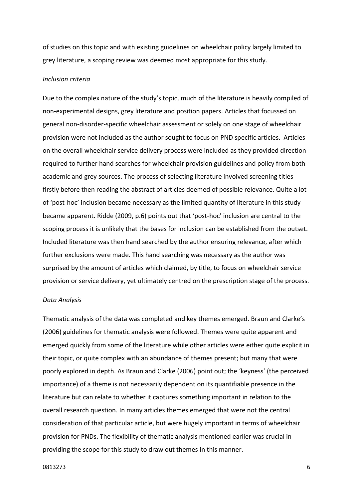of studies on this topic and with existing guidelines on wheelchair policy largely limited to grey literature, a scoping review was deemed most appropriate for this study.

# *Inclusion criteria*

Due to the complex nature of the study's topic, much of the literature is heavily compiled of non-experimental designs, grey literature and position papers. Articles that focussed on general non-disorder-specific wheelchair assessment or solely on one stage of wheelchair provision were not included as the author sought to focus on PND specific articles. Articles on the overall wheelchair service delivery process were included as they provided direction required to further hand searches for wheelchair provision guidelines and policy from both academic and grey sources. The process of selecting literature involved screening titles firstly before then reading the abstract of articles deemed of possible relevance. Quite a lot of 'post-hoc' inclusion became necessary as the limited quantity of literature in this study became apparent. Ridde (2009, p.6) points out that 'post-hoc' inclusion are central to the scoping process it is unlikely that the bases for inclusion can be established from the outset. Included literature was then hand searched by the author ensuring relevance, after which further exclusions were made. This hand searching was necessary as the author was surprised by the amount of articles which claimed, by title, to focus on wheelchair service provision or service delivery, yet ultimately centred on the prescription stage of the process.

#### *Data Analysis*

Thematic analysis of the data was completed and key themes emerged. Braun and Clarke's (2006) guidelines for thematic analysis were followed. Themes were quite apparent and emerged quickly from some of the literature while other articles were either quite explicit in their topic, or quite complex with an abundance of themes present; but many that were poorly explored in depth. As Braun and Clarke (2006) point out; the 'keyness' (the perceived importance) of a theme is not necessarily dependent on its quantifiable presence in the literature but can relate to whether it captures something important in relation to the overall research question. In many articles themes emerged that were not the central consideration of that particular article, but were hugely important in terms of wheelchair provision for PNDs. The flexibility of thematic analysis mentioned earlier was crucial in providing the scope for this study to draw out themes in this manner.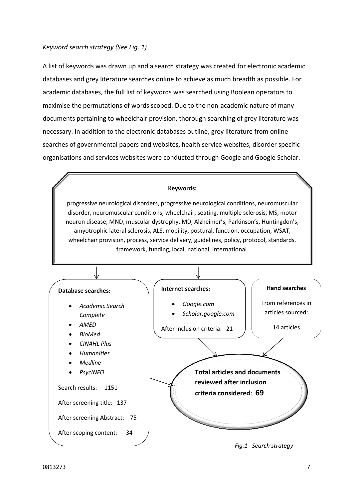# *Keyword search strategy (See Fig. 1)*

A list of keywords was drawn up and a search strategy was created for electronic academic databases and grey literature searches online to achieve as much breadth as possible. For academic databases, the full list of keywords was searched using Boolean operators to maximise the permutations of words scoped. Due to the non-academic nature of many documents pertaining to wheelchair provision, thorough searching of grey literature was necessary. In addition to the electronic databases outline, grey literature from online searches of governmental papers and websites, health service websites, disorder specific organisations and services websites were conducted through Google and Google Scholar.

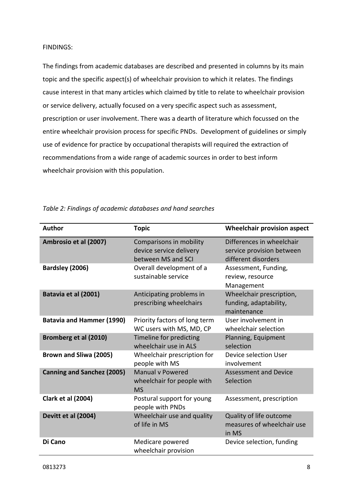# FINDINGS:

The findings from academic databases are described and presented in columns by its main topic and the specific aspect(s) of wheelchair provision to which it relates. The findings cause interest in that many articles which claimed by title to relate to wheelchair provision or service delivery, actually focused on a very specific aspect such as assessment, prescription or user involvement. There was a dearth of literature which focussed on the entire wheelchair provision process for specific PNDs. Development of guidelines or simply use of evidence for practice by occupational therapists will required the extraction of recommendations from a wide range of academic sources in order to best inform wheelchair provision with this population.

| <b>Author</b>                     | <b>Topic</b>                                                             | <b>Wheelchair provision aspect</b>                                            |
|-----------------------------------|--------------------------------------------------------------------------|-------------------------------------------------------------------------------|
| Ambrosio et al (2007)             | Comparisons in mobility<br>device service delivery<br>between MS and SCI | Differences in wheelchair<br>service provision between<br>different disorders |
| Bardsley (2006)                   | Overall development of a<br>sustainable service                          | Assessment, Funding,<br>review, resource<br>Management                        |
| Batavia et al (2001)              | Anticipating problems in<br>prescribing wheelchairs                      | Wheelchair prescription,<br>funding, adaptability,<br>maintenance             |
| <b>Batavia and Hammer (1990)</b>  | Priority factors of long term<br>WC users with MS, MD, CP                | User involvement in<br>wheelchair selection                                   |
| Bromberg et al (2010)             | Timeline for predicting<br>wheelchair use in ALS                         | Planning, Equipment<br>selection                                              |
| Brown and Sliwa (2005)            | Wheelchair prescription for<br>people with MS                            | Device selection User<br>involvement                                          |
| <b>Canning and Sanchez (2005)</b> | <b>Manual v Powered</b><br>wheelchair for people with<br><b>MS</b>       | <b>Assessment and Device</b><br>Selection                                     |
| <b>Clark et al (2004)</b>         | Postural support for young<br>people with PNDs                           | Assessment, prescription                                                      |
| Devitt et al (2004)               | Wheelchair use and quality<br>of life in MS                              | Quality of life outcome<br>measures of wheelchair use<br>in MS                |
| Di Cano                           | Medicare powered<br>wheelchair provision                                 | Device selection, funding                                                     |

*Table 2: Findings of academic databases and hand searches*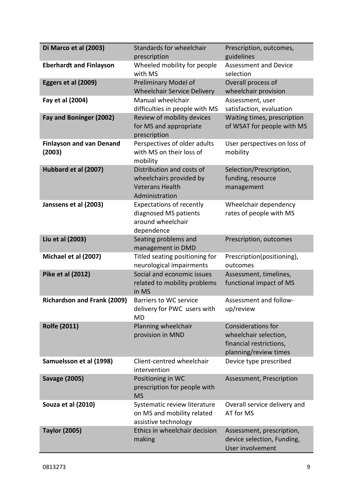| Di Marco et al (2003)                     | Standards for wheelchair<br>prescription                                                         | Prescription, outcomes,<br>guidelines                                                                  |
|-------------------------------------------|--------------------------------------------------------------------------------------------------|--------------------------------------------------------------------------------------------------------|
| <b>Eberhardt and Finlayson</b>            | Wheeled mobility for people<br>with MS                                                           | <b>Assessment and Device</b><br>selection                                                              |
| Eggers et al (2009)                       | Preliminary Model of<br><b>Wheelchair Service Delivery</b>                                       | Overall process of<br>wheelchair provision                                                             |
| Fay et al (2004)                          | Manual wheelchair<br>difficulties in people with MS                                              | Assessment, user<br>satisfaction, evaluation                                                           |
| Fay and Boninger (2002)                   | Review of mobility devices<br>for MS and appropriate<br>prescription                             | Waiting times, prescription<br>of WSAT for people with MS                                              |
| <b>Finlayson and van Denand</b><br>(2003) | Perspectives of older adults<br>with MS on their loss of<br>mobility                             | User perspectives on loss of<br>mobility                                                               |
| Hubbard et al (2007)                      | Distribution and costs of<br>wheelchairs provided by<br><b>Veterans Health</b><br>Administration | Selection/Prescription,<br>funding, resource<br>management                                             |
| Janssens et al (2003)                     | <b>Expectations of recently</b><br>diagnosed MS patients<br>around wheelchair<br>dependence      | Wheelchair dependency<br>rates of people with MS                                                       |
| Liu et al (2003)                          | Seating problems and<br>management in DMD                                                        | Prescription, outcomes                                                                                 |
| Michael et al (2007)                      | Titled seating positioning for<br>neurological impairments                                       | Prescription(positioning),<br>outcomes                                                                 |
| Pike et al (2012)                         | Social and economic issues<br>related to mobility problems<br>in MS                              | Assessment, timelines,<br>functional impact of MS                                                      |
| <b>Richardson and Frank (2009)</b>        | <b>Barriers to WC service</b><br>delivery for PWC users with<br><b>MD</b>                        | Assessment and follow-<br>up/review                                                                    |
| <b>Rolfe (2011)</b>                       | Planning wheelchair<br>provision in MND                                                          | <b>Considerations for</b><br>wheelchair selection,<br>financial restrictions,<br>planning/review times |
| Samuelsson et al (1998)                   | Client-centred wheelchair<br>intervention                                                        | Device type prescribed                                                                                 |
| <b>Savage (2005)</b>                      | Positioning in WC<br>prescription for people with<br><b>MS</b>                                   | Assessment, Prescription                                                                               |
| Souza et al (2010)                        | Systematic review literature<br>on MS and mobility related<br>assistive technology               | Overall service delivery and<br>AT for MS                                                              |
| <b>Taylor (2005)</b>                      | Ethics in wheelchair decision<br>making                                                          | Assessment, prescription,<br>device selection, Funding,<br>User involvement                            |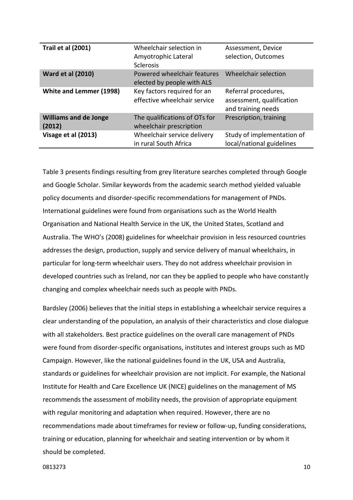| <b>Trail et al (2001)</b>              | Wheelchair selection in<br>Amyotrophic Lateral<br><b>Sclerosis</b> | Assessment, Device<br>selection, Outcomes                               |
|----------------------------------------|--------------------------------------------------------------------|-------------------------------------------------------------------------|
| <b>Ward et al (2010)</b>               | Powered wheelchair features<br>elected by people with ALS          | Wheelchair selection                                                    |
| <b>White and Lemmer (1998)</b>         | Key factors required for an<br>effective wheelchair service        | Referral procedures,<br>assessment, qualification<br>and training needs |
| <b>Williams and de Jonge</b><br>(2012) | The qualifications of OTs for<br>wheelchair prescription           | Prescription, training                                                  |
| Visage et al (2013)                    | Wheelchair service delivery<br>in rural South Africa               | Study of implementation of<br>local/national guidelines                 |

Table 3 presents findings resulting from grey literature searches completed through Google and Google Scholar. Similar keywords from the academic search method yielded valuable policy documents and disorder-specific recommendations for management of PNDs. International guidelines were found from organisations such as the World Health Organisation and National Health Service in the UK, the United States, Scotland and Australia. The WHO's (2008) guidelines for wheelchair provision in less resourced countries addresses the design, production, supply and service delivery of manual wheelchairs, in particular for long-term wheelchair users. They do not address wheelchair provision in developed countries such as Ireland, nor can they be applied to people who have constantly changing and complex wheelchair needs such as people with PNDs.

Bardsley (2006) believes that the initial steps in establishing a wheelchair service requires a clear understanding of the population, an analysis of their characteristics and close dialogue with all stakeholders. Best practice guidelines on the overall care management of PNDs were found from disorder-specific organisations, institutes and interest groups such as MD Campaign. However, like the national guidelines found in the UK, USA and Australia, standards or guidelines for wheelchair provision are not implicit. For example, the National Institute for Health and Care Excellence UK (NICE) guidelines on the management of MS recommends the assessment of mobility needs, the provision of appropriate equipment with regular monitoring and adaptation when required. However, there are no recommendations made about timeframes for review or follow-up, funding considerations, training or education, planning for wheelchair and seating intervention or by whom it should be completed.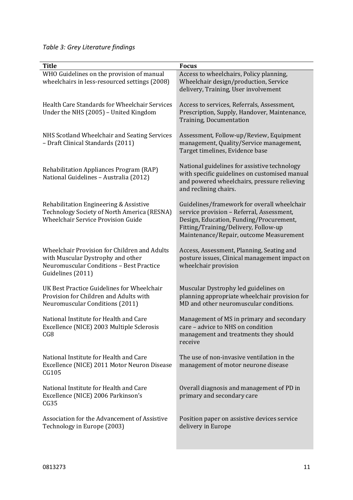*Table 3: Grey Literature findings*

| <b>Title</b>                                                                                                                                              | <b>Focus</b>                                                                                                                                                                                                           |
|-----------------------------------------------------------------------------------------------------------------------------------------------------------|------------------------------------------------------------------------------------------------------------------------------------------------------------------------------------------------------------------------|
| WHO Guidelines on the provision of manual<br>wheelchairs in less-resourced settings (2008)                                                                | Access to wheelchairs, Policy planning,<br>Wheelchair design/production, Service<br>delivery, Training, User involvement                                                                                               |
| Health Care Standards for Wheelchair Services<br>Under the NHS (2005) - United Kingdom                                                                    | Access to services, Referrals, Assessment,<br>Prescription, Supply, Handover, Maintenance,<br><b>Training, Documentation</b>                                                                                           |
| NHS Scotland Wheelchair and Seating Services<br>- Draft Clinical Standards (2011)                                                                         | Assessment, Follow-up/Review, Equipment<br>management, Quality/Service management,<br>Target timelines, Evidence base                                                                                                  |
| Rehabilitation Appliances Program (RAP)<br>National Guidelines - Australia (2012)                                                                         | National guidelines for assistive technology<br>with specific guidelines on customised manual<br>and powered wheelchairs, pressure relieving<br>and reclining chairs.                                                  |
| Rehabilitation Engineering & Assistive<br>Technology Society of North America (RESNA)<br><b>Wheelchair Service Provision Guide</b>                        | Guidelines/framework for overall wheelchair<br>service provision - Referral, Assessment,<br>Design, Education, Funding/Procurement,<br>Fitting/Training/Delivery, Follow-up<br>Maintenance/Repair, outcome Measurement |
| Wheelchair Provision for Children and Adults<br>with Muscular Dystrophy and other<br><b>Neuromuscular Conditions - Best Practice</b><br>Guidelines (2011) | Access, Assessment, Planning, Seating and<br>posture issues, Clinical management impact on<br>wheelchair provision                                                                                                     |
| UK Best Practice Guidelines for Wheelchair<br>Provision for Children and Adults with<br><b>Neuromuscular Conditions (2011)</b>                            | Muscular Dystrophy led guidelines on<br>planning appropriate wheelchair provision for<br>MD and other neuromuscular conditions.                                                                                        |
| National Institute for Health and Care<br>Excellence (NICE) 2003 Multiple Sclerosis<br>CG8                                                                | Management of MS in primary and secondary<br>care - advice to NHS on condition<br>management and treatments they should<br>receive                                                                                     |
| National Institute for Health and Care<br>Excellence (NICE) 2011 Motor Neuron Disease<br>CG105                                                            | The use of non-invasive ventilation in the<br>management of motor neurone disease                                                                                                                                      |
| National Institute for Health and Care<br>Excellence (NICE) 2006 Parkinson's<br>CG35                                                                      | Overall diagnosis and management of PD in<br>primary and secondary care                                                                                                                                                |
| Association for the Advancement of Assistive<br>Technology in Europe (2003)                                                                               | Position paper on assistive devices service<br>delivery in Europe                                                                                                                                                      |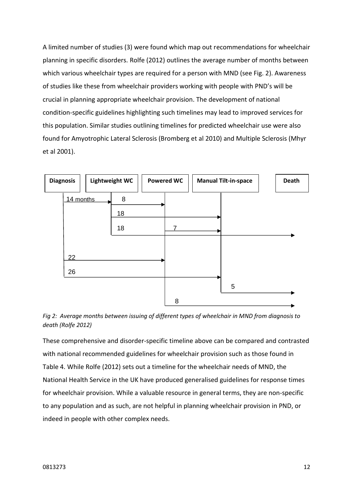A limited number of studies (3) were found which map out recommendations for wheelchair planning in specific disorders. Rolfe (2012) outlines the average number of months between which various wheelchair types are required for a person with MND (see Fig. 2). Awareness of studies like these from wheelchair providers working with people with PND's will be crucial in planning appropriate wheelchair provision. The development of national condition-specific guidelines highlighting such timelines may lead to improved services for this population. Similar studies outlining timelines for predicted wheelchair use were also found for Amyotrophic Lateral Sclerosis (Bromberg et al 2010) and Multiple Sclerosis (Mhyr et al 2001).





These comprehensive and disorder-specific timeline above can be compared and contrasted with national recommended guidelines for wheelchair provision such as those found in Table 4. While Rolfe (2012) sets out a timeline for the wheelchair needs of MND, the National Health Service in the UK have produced generalised guidelines for response times for wheelchair provision. While a valuable resource in general terms, they are non-specific to any population and as such, are not helpful in planning wheelchair provision in PND, or indeed in people with other complex needs.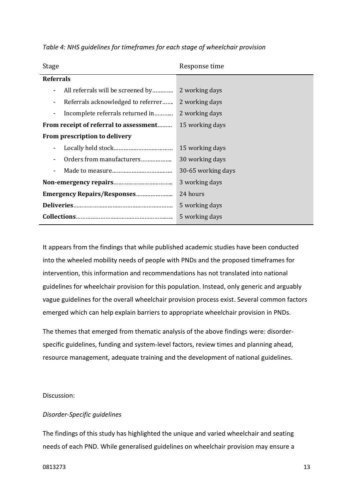*Table 4: NHS guidelines for timeframes for each stage of wheelchair provision*

| Stage                                   | Response time      |
|-----------------------------------------|--------------------|
| <b>Referrals</b>                        |                    |
| All referrals will be screened by<br>۰  | 2 working days     |
| Referrals acknowledged to referrer<br>۰ | 2 working days     |
| Incomplete referrals returned in<br>۰   | 2 working days     |
| From receipt of referral to assessment  | 15 working days    |
| From prescription to delivery           |                    |
|                                         | 15 working days    |
| Orders from manufacturers               | 30 working days    |
| ٠                                       | 30-65 working days |
|                                         | 3 working days     |
| <b>Emergency Repairs/Responses</b>      | 24 hours           |
|                                         | 5 working days     |
|                                         | 5 working days     |

It appears from the findings that while published academic studies have been conducted into the wheeled mobility needs of people with PNDs and the proposed timeframes for intervention, this information and recommendations has not translated into national guidelines for wheelchair provision for this population. Instead, only generic and arguably vague guidelines for the overall wheelchair provision process exist. Several common factors emerged which can help explain barriers to appropriate wheelchair provision in PNDs.

The themes that emerged from thematic analysis of the above findings were: disorderspecific guidelines, funding and system-level factors, review times and planning ahead, resource management, adequate training and the development of national guidelines.

# Discussion:

# *Disorder-Specific guidelines*

The findings of this study has highlighted the unique and varied wheelchair and seating needs of each PND. While generalised guidelines on wheelchair provision may ensure a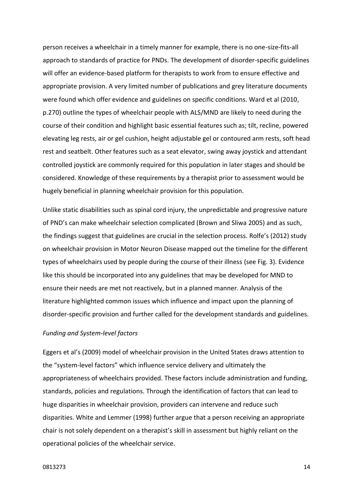person receives a wheelchair in a timely manner for example, there is no one-size-fits-all approach to standards of practice for PNDs. The development of disorder-specific guidelines will offer an evidence-based platform for therapists to work from to ensure effective and appropriate provision. A very limited number of publications and grey literature documents were found which offer evidence and guidelines on specific conditions. Ward et al (2010, p.270) outline the types of wheelchair people with ALS/MND are likely to need during the course of their condition and highlight basic essential features such as; tilt, recline, powered elevating leg rests, air or gel cushion, height adjustable gel or contoured arm rests, soft head rest and seatbelt. Other features such as a seat elevator, swing away joystick and attendant controlled joystick are commonly required for this population in later stages and should be considered. Knowledge of these requirements by a therapist prior to assessment would be hugely beneficial in planning wheelchair provision for this population.

Unlike static disabilities such as spinal cord injury, the unpredictable and progressive nature of PND's can make wheelchair selection complicated (Brown and Sliwa 2005) and as such, the findings suggest that guidelines are crucial in the selection process. Rolfe's (2012) study on wheelchair provision in Motor Neuron Disease mapped out the timeline for the different types of wheelchairs used by people during the course of their illness (see Fig. 3). Evidence like this should be incorporated into any guidelines that may be developed for MND to ensure their needs are met not reactively, but in a planned manner. Analysis of the literature highlighted common issues which influence and impact upon the planning of disorder-specific provision and further called for the development standards and guidelines.

# *Funding and System-level factors*

Eggers et al's (2009) model of wheelchair provision in the United States draws attention to the "system-level factors" which influence service delivery and ultimately the appropriateness of wheelchairs provided. These factors include administration and funding, standards, policies and regulations. Through the identification of factors that can lead to huge disparities in wheelchair provision, providers can intervene and reduce such disparities. White and Lemmer (1998) further argue that a person receiving an appropriate chair is not solely dependent on a therapist's skill in assessment but highly reliant on the operational policies of the wheelchair service.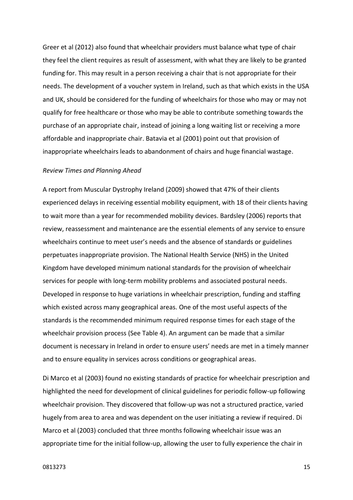Greer et al (2012) also found that wheelchair providers must balance what type of chair they feel the client requires as result of assessment, with what they are likely to be granted funding for. This may result in a person receiving a chair that is not appropriate for their needs. The development of a voucher system in Ireland, such as that which exists in the USA and UK, should be considered for the funding of wheelchairs for those who may or may not qualify for free healthcare or those who may be able to contribute something towards the purchase of an appropriate chair, instead of joining a long waiting list or receiving a more affordable and inappropriate chair. Batavia et al (2001) point out that provision of inappropriate wheelchairs leads to abandonment of chairs and huge financial wastage.

#### *Review Times and Planning Ahead*

A report from Muscular Dystrophy Ireland (2009) showed that 47% of their clients experienced delays in receiving essential mobility equipment, with 18 of their clients having to wait more than a year for recommended mobility devices. Bardsley (2006) reports that review, reassessment and maintenance are the essential elements of any service to ensure wheelchairs continue to meet user's needs and the absence of standards or guidelines perpetuates inappropriate provision. The National Health Service (NHS) in the United Kingdom have developed minimum national standards for the provision of wheelchair services for people with long-term mobility problems and associated postural needs. Developed in response to huge variations in wheelchair prescription, funding and staffing which existed across many geographical areas. One of the most useful aspects of the standards is the recommended minimum required response times for each stage of the wheelchair provision process (See Table 4). An argument can be made that a similar document is necessary in Ireland in order to ensure users' needs are met in a timely manner and to ensure equality in services across conditions or geographical areas.

Di Marco et al (2003) found no existing standards of practice for wheelchair prescription and highlighted the need for development of clinical guidelines for periodic follow-up following wheelchair provision. They discovered that follow-up was not a structured practice, varied hugely from area to area and was dependent on the user initiating a review if required. Di Marco et al (2003) concluded that three months following wheelchair issue was an appropriate time for the initial follow-up, allowing the user to fully experience the chair in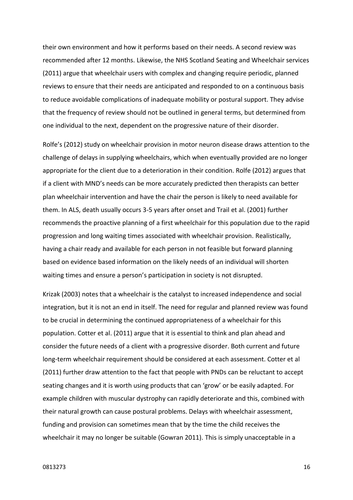their own environment and how it performs based on their needs. A second review was recommended after 12 months. Likewise, the NHS Scotland Seating and Wheelchair services (2011) argue that wheelchair users with complex and changing require periodic, planned reviews to ensure that their needs are anticipated and responded to on a continuous basis to reduce avoidable complications of inadequate mobility or postural support. They advise that the frequency of review should not be outlined in general terms, but determined from one individual to the next, dependent on the progressive nature of their disorder.

Rolfe's (2012) study on wheelchair provision in motor neuron disease draws attention to the challenge of delays in supplying wheelchairs, which when eventually provided are no longer appropriate for the client due to a deterioration in their condition. Rolfe (2012) argues that if a client with MND's needs can be more accurately predicted then therapists can better plan wheelchair intervention and have the chair the person is likely to need available for them. In ALS, death usually occurs 3-5 years after onset and Trail et al. (2001) further recommends the proactive planning of a first wheelchair for this population due to the rapid progression and long waiting times associated with wheelchair provision. Realistically, having a chair ready and available for each person in not feasible but forward planning based on evidence based information on the likely needs of an individual will shorten waiting times and ensure a person's participation in society is not disrupted.

Krizak (2003) notes that a wheelchair is the catalyst to increased independence and social integration, but it is not an end in itself. The need for regular and planned review was found to be crucial in determining the continued appropriateness of a wheelchair for this population. Cotter et al. (2011) argue that it is essential to think and plan ahead and consider the future needs of a client with a progressive disorder. Both current and future long-term wheelchair requirement should be considered at each assessment. Cotter et al (2011) further draw attention to the fact that people with PNDs can be reluctant to accept seating changes and it is worth using products that can 'grow' or be easily adapted. For example children with muscular dystrophy can rapidly deteriorate and this, combined with their natural growth can cause postural problems. Delays with wheelchair assessment, funding and provision can sometimes mean that by the time the child receives the wheelchair it may no longer be suitable (Gowran 2011). This is simply unacceptable in a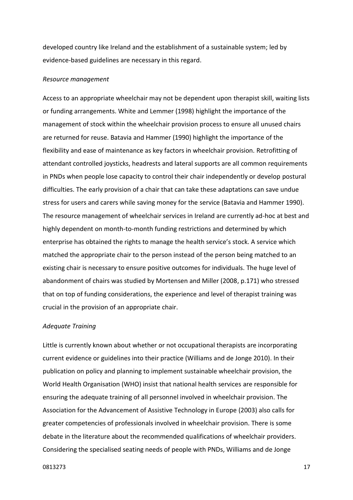developed country like Ireland and the establishment of a sustainable system; led by evidence-based guidelines are necessary in this regard.

## *Resource management*

Access to an appropriate wheelchair may not be dependent upon therapist skill, waiting lists or funding arrangements. White and Lemmer (1998) highlight the importance of the management of stock within the wheelchair provision process to ensure all unused chairs are returned for reuse. Batavia and Hammer (1990) highlight the importance of the flexibility and ease of maintenance as key factors in wheelchair provision. Retrofitting of attendant controlled joysticks, headrests and lateral supports are all common requirements in PNDs when people lose capacity to control their chair independently or develop postural difficulties. The early provision of a chair that can take these adaptations can save undue stress for users and carers while saving money for the service (Batavia and Hammer 1990). The resource management of wheelchair services in Ireland are currently ad-hoc at best and highly dependent on month-to-month funding restrictions and determined by which enterprise has obtained the rights to manage the health service's stock. A service which matched the appropriate chair to the person instead of the person being matched to an existing chair is necessary to ensure positive outcomes for individuals. The huge level of abandonment of chairs was studied by Mortensen and Miller (2008, p.171) who stressed that on top of funding considerations, the experience and level of therapist training was crucial in the provision of an appropriate chair.

## *Adequate Training*

Little is currently known about whether or not occupational therapists are incorporating current evidence or guidelines into their practice (Williams and de Jonge 2010). In their publication on policy and planning to implement sustainable wheelchair provision, the World Health Organisation (WHO) insist that national health services are responsible for ensuring the adequate training of all personnel involved in wheelchair provision. The Association for the Advancement of Assistive Technology in Europe (2003) also calls for greater competencies of professionals involved in wheelchair provision. There is some debate in the literature about the recommended qualifications of wheelchair providers. Considering the specialised seating needs of people with PNDs, Williams and de Jonge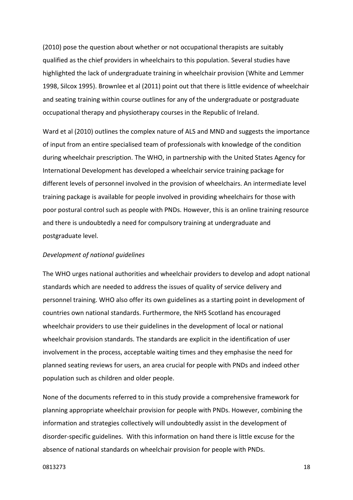(2010) pose the question about whether or not occupational therapists are suitably qualified as the chief providers in wheelchairs to this population. Several studies have highlighted the lack of undergraduate training in wheelchair provision (White and Lemmer 1998, Silcox 1995). Brownlee et al (2011) point out that there is little evidence of wheelchair and seating training within course outlines for any of the undergraduate or postgraduate occupational therapy and physiotherapy courses in the Republic of Ireland.

Ward et al (2010) outlines the complex nature of ALS and MND and suggests the importance of input from an entire specialised team of professionals with knowledge of the condition during wheelchair prescription. The WHO, in partnership with the United States Agency for International Development has developed a wheelchair service training package for different levels of personnel involved in the provision of wheelchairs. An intermediate level training package is available for people involved in providing wheelchairs for those with poor postural control such as people with PNDs. However, this is an online training resource and there is undoubtedly a need for compulsory training at undergraduate and postgraduate level.

#### *Development of national guidelines*

The WHO urges national authorities and wheelchair providers to develop and adopt national standards which are needed to address the issues of quality of service delivery and personnel training. WHO also offer its own guidelines as a starting point in development of countries own national standards. Furthermore, the NHS Scotland has encouraged wheelchair providers to use their guidelines in the development of local or national wheelchair provision standards. The standards are explicit in the identification of user involvement in the process, acceptable waiting times and they emphasise the need for planned seating reviews for users, an area crucial for people with PNDs and indeed other population such as children and older people.

None of the documents referred to in this study provide a comprehensive framework for planning appropriate wheelchair provision for people with PNDs. However, combining the information and strategies collectively will undoubtedly assist in the development of disorder-specific guidelines. With this information on hand there is little excuse for the absence of national standards on wheelchair provision for people with PNDs.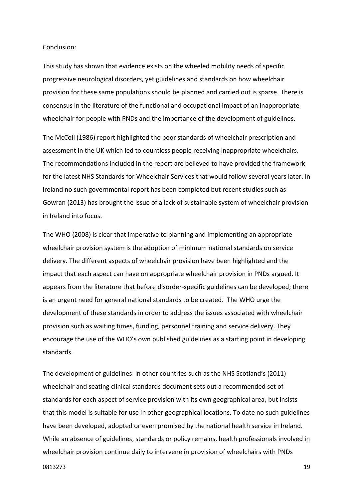# Conclusion:

This study has shown that evidence exists on the wheeled mobility needs of specific progressive neurological disorders, yet guidelines and standards on how wheelchair provision for these same populations should be planned and carried out is sparse. There is consensus in the literature of the functional and occupational impact of an inappropriate wheelchair for people with PNDs and the importance of the development of guidelines.

The McColl (1986) report highlighted the poor standards of wheelchair prescription and assessment in the UK which led to countless people receiving inappropriate wheelchairs. The recommendations included in the report are believed to have provided the framework for the latest NHS Standards for Wheelchair Services that would follow several years later. In Ireland no such governmental report has been completed but recent studies such as Gowran (2013) has brought the issue of a lack of sustainable system of wheelchair provision in Ireland into focus.

The WHO (2008) is clear that imperative to planning and implementing an appropriate wheelchair provision system is the adoption of minimum national standards on service delivery. The different aspects of wheelchair provision have been highlighted and the impact that each aspect can have on appropriate wheelchair provision in PNDs argued. It appears from the literature that before disorder-specific guidelines can be developed; there is an urgent need for general national standards to be created. The WHO urge the development of these standards in order to address the issues associated with wheelchair provision such as waiting times, funding, personnel training and service delivery. They encourage the use of the WHO's own published guidelines as a starting point in developing standards.

The development of guidelines in other countries such as the NHS Scotland's (2011) wheelchair and seating clinical standards document sets out a recommended set of standards for each aspect of service provision with its own geographical area, but insists that this model is suitable for use in other geographical locations. To date no such guidelines have been developed, adopted or even promised by the national health service in Ireland. While an absence of guidelines, standards or policy remains, health professionals involved in wheelchair provision continue daily to intervene in provision of wheelchairs with PNDs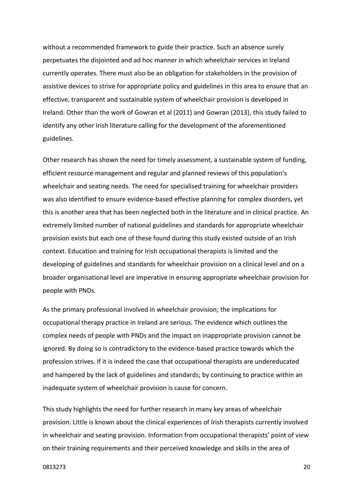without a recommended framework to guide their practice. Such an absence surely perpetuates the disjointed and ad hoc manner in which wheelchair services in Ireland currently operates. There must also be an obligation for stakeholders in the provision of assistive devices to strive for appropriate policy and guidelines in this area to ensure that an effective, transparent and sustainable system of wheelchair provision is developed in Ireland. Other than the work of Gowran et al (2011) and Gowran (2013), this study failed to identify any other Irish literature calling for the development of the aforementioned guidelines.

Other research has shown the need for timely assessment, a sustainable system of funding, efficient resource management and regular and planned reviews of this population's wheelchair and seating needs. The need for specialised training for wheelchair providers was also identified to ensure evidence-based effective planning for complex disorders, yet this is another area that has been neglected both in the literature and in clinical practice. An extremely limited number of national guidelines and standards for appropriate wheelchair provision exists but each one of these found during this study existed outside of an Irish context. Education and training for Irish occupational therapists is limited and the developing of guidelines and standards for wheelchair provision on a clinical level and on a broader organisational level are imperative in ensuring appropriate wheelchair provision for people with PNDs.

As the primary professional involved in wheelchair provision; the implications for occupational therapy practice in Ireland are serious. The evidence which outlines the complex needs of people with PNDs and the impact on inappropriate provision cannot be ignored. By doing so is contradictory to the evidence-based practice towards which the profession strives. If it is indeed the case that occupational therapists are undereducated and hampered by the lack of guidelines and standards; by continuing to practice within an inadequate system of wheelchair provision is cause for concern.

This study highlights the need for further research in many key areas of wheelchair provision. Little is known about the clinical experiences of Irish therapists currently involved in wheelchair and seating provision. Information from occupational therapists' point of view on their training requirements and their perceived knowledge and skills in the area of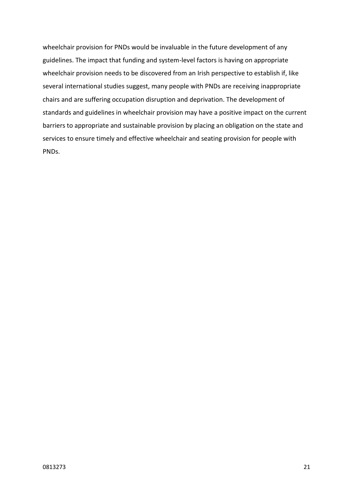wheelchair provision for PNDs would be invaluable in the future development of any guidelines. The impact that funding and system-level factors is having on appropriate wheelchair provision needs to be discovered from an Irish perspective to establish if, like several international studies suggest, many people with PNDs are receiving inappropriate chairs and are suffering occupation disruption and deprivation. The development of standards and guidelines in wheelchair provision may have a positive impact on the current barriers to appropriate and sustainable provision by placing an obligation on the state and services to ensure timely and effective wheelchair and seating provision for people with PNDs.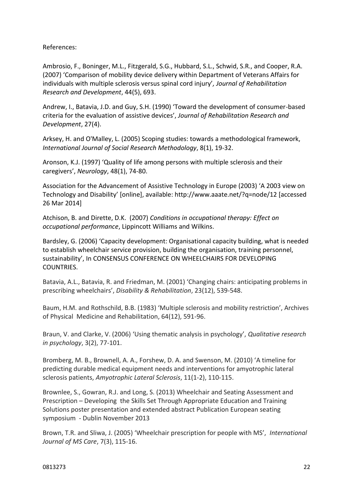References:

Ambrosio, F., Boninger, M.L., Fitzgerald, S.G., Hubbard, S.L., Schwid, S.R., and Cooper, R.A. (2007) 'Comparison of mobility device delivery within Department of Veterans Affairs for individuals with multiple sclerosis versus spinal cord injury'*, Journal of Rehabilitation Research and Development*, 44(5), 693.

Andrew, I., Batavia, J.D. and Guy, S.H. (1990) 'Toward the development of consumer-based criteria for the evaluation of assistive devices', *Journal of Rehabilitation Research and Development*, 27(4).

Arksey, H. and O'Malley, L. (2005) Scoping studies: towards a methodological framework, *International Journal of Social Research Methodology*, 8(1), 19-32.

Aronson, K.J. (1997) 'Quality of life among persons with multiple sclerosis and their caregivers', *Neurology*, 48(1), 74-80.

Association for the Advancement of Assistive Technology in Europe (2003) 'A 2003 view on Technology and Disability' [online], available: http://www.aaate.net/?q=node/12 [accessed 26 Mar 2014]

Atchison, B. and Dirette, D.K. (2007) *Conditions in occupational therapy: Effect on occupational performance*, Lippincott Williams and Wilkins.

Bardsley, G. (2006) 'Capacity development: Organisational capacity building, what is needed to establish wheelchair service provision, building the organisation, training personnel, sustainability', In CONSENSUS CONFERENCE ON WHEELCHAIRS FOR DEVELOPING COUNTRIES.

Batavia, A.L., Batavia, R. and Friedman, M. (2001) 'Changing chairs: anticipating problems in prescribing wheelchairs', *Disability & Rehabilitation*, 23(12), 539-548.

Baum, H.M. and Rothschild, B.B. (1983) 'Multiple sclerosis and mobility restriction', Archives of Physical Medicine and Rehabilitation, 64(12), 591-96.

Braun, V. and Clarke, V. (2006) 'Using thematic analysis in psychology', *Qualitative research in psychology*, 3(2), 77-101.

Bromberg, M. B., Brownell, A. A., Forshew, D. A. and Swenson, M. (2010) 'A timeline for predicting durable medical equipment needs and interventions for amyotrophic lateral sclerosis patients, *Amyotrophic Lateral Sclerosis*, 11(1-2), 110-115.

Brownlee, S., Gowran, R.J. and Long, S. (2013) Wheelchair and Seating Assessment and Prescription – Developing the Skills Set Through Appropriate Education and Training Solutions poster presentation and extended abstract Publication European seating symposium - Dublin November 2013

Brown, T.R. and Sliwa, J. (2005) 'Wheelchair prescription for people with MS', *International Journal of MS Care*, 7(3), 115-16.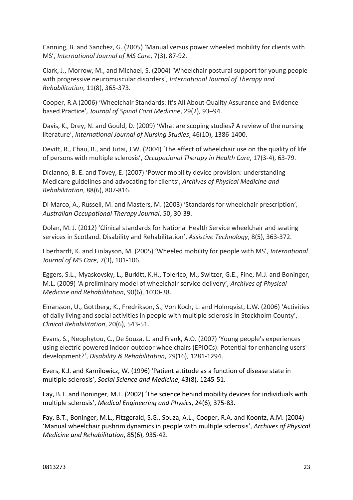Canning, B. and Sanchez, G. (2005) 'Manual versus power wheeled mobility for clients with MS', *International Journal of MS Care*, 7(3), 87-92.

Clark, J., Morrow, M., and Michael, S. (2004) 'Wheelchair postural support for young people with progressive neuromuscular disorders', *International Journal of Therapy and Rehabilitation*, 11(8), 365-373.

Cooper, R.A (2006) 'Wheelchair Standards: It's All About Quality Assurance and Evidencebased Practice'*, Journal of Spinal Cord Medicine*, 29(2), 93–94.

Davis, K., Drey, N. and Gould, D. (2009) 'What are scoping studies? A review of the nursing literature', *International Journal of Nursing Studies*, 46(10), 1386-1400.

Devitt, R., Chau, B., and Jutai, J.W. (2004) 'The effect of wheelchair use on the quality of life of persons with multiple sclerosis', *Occupational Therapy in Health Care*, 17(3-4), 63-79.

Dicianno, B. E. and Tovey, E. (2007) 'Power mobility device provision: understanding Medicare guidelines and advocating for clients', *Archives of Physical Medicine and Rehabilitation*, 88(6), 807-816.

Di Marco, A., Russell, M. and Masters, M. (2003) 'Standards for wheelchair prescription'*, Australian Occupational Therapy Journal*, 50, 30-39.

Dolan, M. J. (2012) 'Clinical standards for National Health Service wheelchair and seating services in Scotland. Disability and Rehabilitation', *Assistive Technology*, 8(5), 363-372.

Eberhardt, K. and Finlayson, M. (2005) 'Wheeled mobility for people with MS'*, International Journal of MS Care*, 7(3), 101-106.

Eggers, S.L., Myaskovsky, L., Burkitt, K.H., Tolerico, M., Switzer, G.E., Fine, M.J. and Boninger, M.L. (2009) 'A preliminary model of wheelchair service delivery', *Archives of Physical Medicine and Rehabilitation*, 90(6), 1030-38.

Einarsson, U., Gottberg, K., Fredrikson, S., Von Koch, L. and Holmqvist, L.W. (2006) 'Activities of daily living and social activities in people with multiple sclerosis in Stockholm County', *Clinical Rehabilitation*, 20(6), 543-51.

Evans, S., Neophytou, C., De Souza, L. and Frank, A.O. (2007) 'Young people's experiences using electric powered indoor-outdoor wheelchairs (EPIOCs): Potential for enhancing users' development?', *Disability & Rehabilitation*, *29*(16), 1281-1294.

Evers, K.J. and Karnilowicz, W. (1996) 'Patient attitude as a function of disease state in multiple sclerosis', *Social Science and Medicine*, 43(8), 1245-51.

Fay, B.T. and Boninger, M.L. (2002) 'The science behind mobility devices for individuals with multiple sclerosis', *Medical Engineering and Physics*, 24(6), 375-83.

Fay, B.T., Boninger, M.L., Fitzgerald, S.G., Souza, A.L., Cooper, R.A. and Koontz, A.M. (2004) 'Manual wheelchair pushrim dynamics in people with multiple sclerosis', *Archives of Physical Medicine and Rehabilitation*, 85(6), 935-42.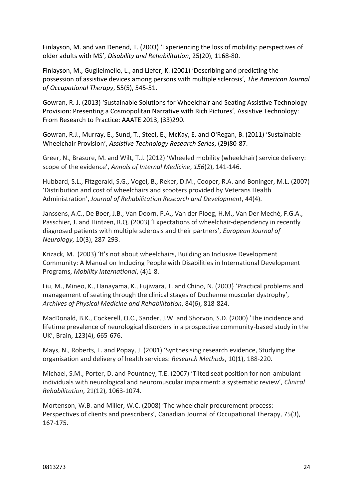Finlayson, M. and van Denend, T. (2003) 'Experiencing the loss of mobility: perspectives of older adults with MS', *Disability and Rehabilitation*, 25(20), 1168-80.

Finlayson, M., Guglielmello, L., and Liefer, K. (2001) 'Describing and predicting the possession of assistive devices among persons with multiple sclerosis'*, The American Journal of Occupational Therapy*, 55(5), 545-51.

Gowran, R. J. (2013) 'Sustainable Solutions for Wheelchair and Seating Assistive Technology Provision: Presenting a Cosmopolitan Narrative with Rich Pictures', Assistive Technology: From Research to Practice: AAATE 2013, (33)290.

Gowran, R.J., Murray, E., Sund, T., Steel, E., McKay, E. and O'Regan, B. (2011) 'Sustainable Wheelchair Provision', *Assistive Technology Research Series*, (29)80-87.

Greer, N., Brasure, M. and Wilt, T.J. (2012) 'Wheeled mobility (wheelchair) service delivery: scope of the evidence', *Annals of Internal Medicine*, *156*(2), 141-146.

Hubbard, S.L., Fitzgerald, S.G., Vogel, B., Reker, D.M., Cooper, R.A. and Boninger, M.L. (2007) 'Distribution and cost of wheelchairs and scooters provided by Veterans Health Administration', *Journal of Rehabilitation Research and Development*, 44(4).

Janssens, A.C., De Boer, J.B., Van Doorn, P.A., Van der Ploeg, H.M., Van Der Meché, F.G.A., Passchier, J. and Hintzen, R.Q. (2003) 'Expectations of wheelchair‐dependency in recently diagnosed patients with multiple sclerosis and their partners', *European Journal of Neurology*, 10(3), 287-293.

Krizack, M. (2003) 'It's not about wheelchairs, Building an Inclusive Development Community: A Manual on Including People with Disabilities in International Development Programs, *Mobility International*, (4)1-8.

Liu, M., Mineo, K., Hanayama, K., Fujiwara, T. and Chino, N. (2003) 'Practical problems and management of seating through the clinical stages of Duchenne muscular dystrophy', *Archives of Physical Medicine and Rehabilitation*, 84(6), 818-824.

MacDonald, B.K., Cockerell, O.C., Sander, J.W. and Shorvon, S.D. (2000) 'The incidence and lifetime prevalence of neurological disorders in a prospective community-based study in the UK', Brain, 123(4), 665-676.

Mays, N., Roberts, E. and Popay, J. (2001) 'Synthesising research evidence, Studying the organisation and delivery of health services: *Research Methods*, 10(1), 188-220.

Michael, S.M., Porter, D. and Pountney, T.E. (2007) 'Tilted seat position for non-ambulant individuals with neurological and neuromuscular impairment: a systematic review', *Clinical Rehabilitation*, 21(12), 1063-1074.

Mortenson, W.B. and Miller, W.C. (2008) 'The wheelchair procurement process: Perspectives of clients and prescribers', Canadian Journal of Occupational Therapy, 75(3), 167-175.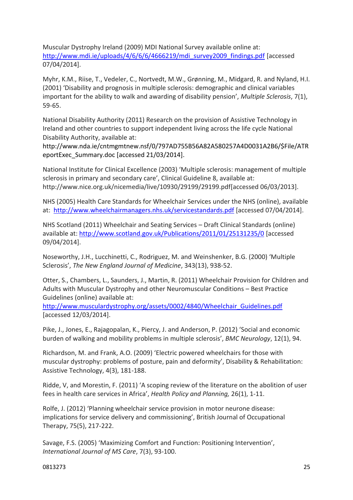Muscular Dystrophy Ireland (2009) MDI National Survey available online at: [http://www.mdi.ie/uploads/4/6/6/6/4666219/mdi\\_survey2009\\_findings.pdf](http://www.mdi.ie/uploads/4/6/6/6/4666219/mdi_survey2009_findings.pdf) [accessed 07/04/2014].

Myhr, K.M., Riise, T., Vedeler, C., Nortvedt, M.W., Grønning, M., Midgard, R. and Nyland, H.I. (2001) 'Disability and prognosis in multiple sclerosis: demographic and clinical variables important for the ability to walk and awarding of disability pension', *Multiple Sclerosis*, 7(1), 59-65.

National Disability Authority (2011) Research on the provision of Assistive Technology in Ireland and other countries to support independent living across the life cycle National Disability Authority, available at:

[http://www.nda.ie/cntmgmtnew.nsf/0/797AD755B56A82A580257A4D0031A2B6/\\$File/ATR](http://www.nda.ie/cntmgmtnew.nsf/0/797AD755B56A82A580257A4D0031A2B6/$File/ATReportExec_Summary.doc) [eportExec\\_Summary.doc](http://www.nda.ie/cntmgmtnew.nsf/0/797AD755B56A82A580257A4D0031A2B6/$File/ATReportExec_Summary.doc) [accessed 21/03/2014].

National Institute for Clinical Excellence (2003) 'Multiple sclerosis: management of multiple sclerosis in primary and secondary care', Clinical Guideline 8, available at: http://www.nice.org.uk/nicemedia/live/10930/29199/29199.pdf[accessed 06/03/2013].

NHS (2005) Health Care Standards for Wheelchair Services under the NHS (online), available at: <http://www.wheelchairmanagers.nhs.uk/servicestandards.pdf> [accessed 07/04/2014].

NHS Scotland (2011) Wheelchair and Seating Services – Draft Clinical Standards (online) available at[: http://www.scotland.gov.uk/Publications/2011/01/25131235/0](http://www.scotland.gov.uk/Publications/2011/01/25131235/0) [accessed 09/04/2014].

Noseworthy, J.H., Lucchinetti, C., Rodriguez, M. and Weinshenker, B.G. (2000) 'Multiple Sclerosis', *The New England Journal of Medicine*, 343(13), 938-52.

Otter, S., Chambers, L., Saunders, J., Martin, R. (2011) Wheelchair Provision for Children and Adults with Muscular Dystrophy and other Neuromuscular Conditions – Best Practice Guidelines (online) available at:

[http://www.musculardystrophy.org/assets/0002/4840/Wheelchair\\_Guidelines.pdf](http://www.musculardystrophy.org/assets/0002/4840/Wheelchair_Guidelines.pdf)  [accessed 12/03/2014].

Pike, J., Jones, E., Rajagopalan, K., Piercy, J. and Anderson, P. (2012) 'Social and economic burden of walking and mobility problems in multiple sclerosis', *BMC Neurology*, 12(1), 94.

Richardson, M. and Frank, A.O. (2009) 'Electric powered wheelchairs for those with muscular dystrophy: problems of posture, pain and deformity', Disability & Rehabilitation: Assistive Technology, 4(3), 181-188.

Ridde, V, and Morestin, F. (2011) 'A scoping review of the literature on the abolition of user fees in health care services in Africa', *Health Policy and Planning,* 26(1), 1-11.

Rolfe, J. (2012) 'Planning wheelchair service provision in motor neurone disease: implications for service delivery and commissioning', British Journal of Occupational Therapy, 75(5), 217-222.

Savage, F.S. (2005) 'Maximizing Comfort and Function: Positioning Intervention', *International Journal of MS Care*, 7(3), 93-100.